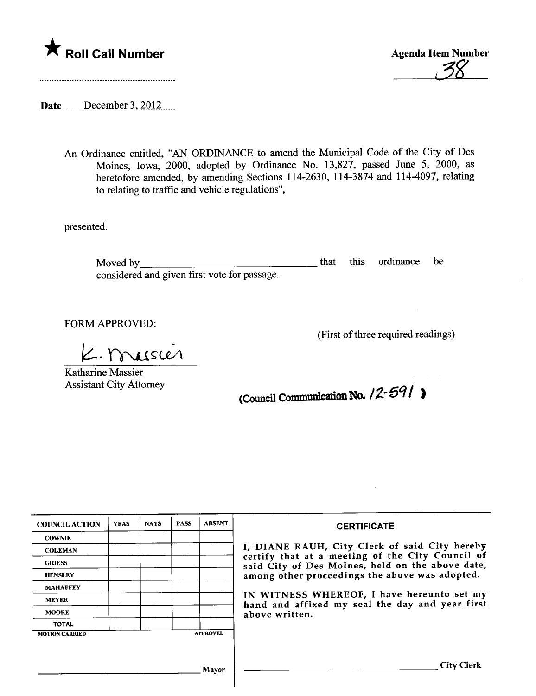



Date  $\frac{\text{December 3, 2012}}{\text{December 3}}$ 

An Ordinance entitled, "AN ORDINANCE to amend the Muncipal Code of the City of Des Moines, Iowa, 2000, adopted by Ordinance No. 13,827, passed June 5, 2000, as heretofore amended, by amending Sections 114-2630, 114-3874 and 114-4097, relating to relating to traffic and vehicle regulations",

presented.

Moved by considered and given first vote for passage. that this ordinance be

FORM APPROVED:

(First of three required readings)<br>  $\angle$ . MUSCLA

Katharine Massier Assistant City Attorney

(Council Communication No.  $12 - 691$  )

| <b>COUNCIL ACTION</b>                    | <b>YEAS</b> | <b>NAYS</b> | <b>PASS</b> | <b>ABSENT</b> | <b>CERTIFICATE</b>                                                                                                                                                                                      |  |  |
|------------------------------------------|-------------|-------------|-------------|---------------|---------------------------------------------------------------------------------------------------------------------------------------------------------------------------------------------------------|--|--|
| <b>COWNIE</b>                            |             |             |             |               | I, DIANE RAUH, City Clerk of said City hereby<br>certify that at a meeting of the City Council of<br>said City of Des Moines, held on the above date,<br>among other proceedings the above was adopted. |  |  |
| <b>COLEMAN</b>                           |             |             |             |               |                                                                                                                                                                                                         |  |  |
| <b>GRIESS</b>                            |             |             |             |               |                                                                                                                                                                                                         |  |  |
| <b>HENSLEY</b>                           |             |             |             |               |                                                                                                                                                                                                         |  |  |
| <b>MAHAFFEY</b>                          |             |             |             |               |                                                                                                                                                                                                         |  |  |
| <b>MEYER</b>                             |             |             |             |               | IN WITNESS WHEREOF, I have hereunto set my<br>hand and affixed my seal the day and year first<br>above written.                                                                                         |  |  |
| <b>MOORE</b>                             |             |             |             |               |                                                                                                                                                                                                         |  |  |
| <b>TOTAL</b>                             |             |             |             |               |                                                                                                                                                                                                         |  |  |
| <b>APPROVED</b><br><b>MOTION CARRIED</b> |             |             |             |               |                                                                                                                                                                                                         |  |  |
|                                          |             |             |             |               |                                                                                                                                                                                                         |  |  |
|                                          |             |             |             |               |                                                                                                                                                                                                         |  |  |
| Mayor                                    |             |             |             |               | City Clerk                                                                                                                                                                                              |  |  |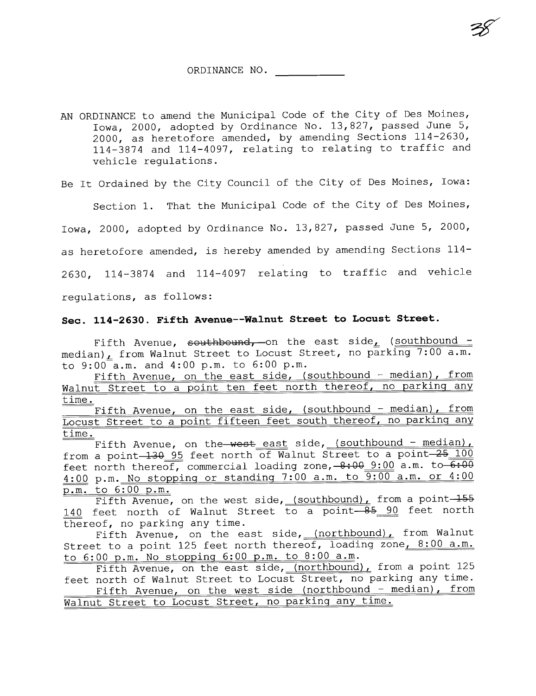~

AN ORDINANCE to amend the Municipal Code of the City of Des Moines, Iowa, 2000, adopted by Ordinance No. 13,827, passed June 5, 2000, as heretofore amended, by amending Sections 114-2630, 114-3874 and 114-4097, relating to relating to traffic and vehicle regulations.

Be It Ordained by the City Council of the City of Des Moines, Iowa:

Section 1. That the Municipal Code of the City of Des Moines,

Iowa, 2000, adopted by Ordinance No. 13,827, passed June 5, 2000,

as heretofore amended, is hereby amended by amending Sections 114-

2630, 114-3874 and 114-4097 relating to traffic and vehicle

regulations, as follows:

#### Sec. 114-2630. Fifth Avenue--Walnut Street to Locust Street.

Fifth Avenue, southbound, on the east side, (southbound median)  $L$  from Walnut Street to Locust Street, no parking 7:00 a.m. to 9:00 a.m. and 4:00 p.m. to 6:00 p.m.

Fifth Avenue, on the east side, (southbound - median), from Walnut Street to a point ten feet north thereof, no parking any time.

Fifth Avenue, on the east side, (southbound - median), from Locust Street to a point fifteen feet south thereof, no parkinq any time.

Fifth Avenue, on the west east side, (southbound - median), from a point- $\frac{130}{95}$  feet north of Walnut Street to a point- $\frac{25}{100}$ feet north thereof, commercial loading zone,  $-8:00$  3:00 a.m. to  $\overline{6:00}$ 4:00 p.m. No stoppinq or standinq 7:00 a.m. to 9:00 a.m. or 4:00 p.m. to 6:00 p.m.

 $\overline{Fifth}$  Avenue, on the west side, (southbound), from a point  $\overline{155}$ 140 feet north of Walnut Street to a point 85 90 feet north thereof, no parking any time.

Fifth Avenue, on the east side, (northbound), from Walnut Street to a point 125 feet north thereof, loading zone, 8:00 a.m. to 6:00 p.m. No stoppinq 6:00 p.m. to 8:00 a.m.

Fifth Avenue, on the east side, (northbound), from a point 125 feet north of Walnut Street to Locust Street, no parking any time. Fifth Avenue, on the west side (northbound - median), from Walnut Street to Locust Street, no parkinq any time.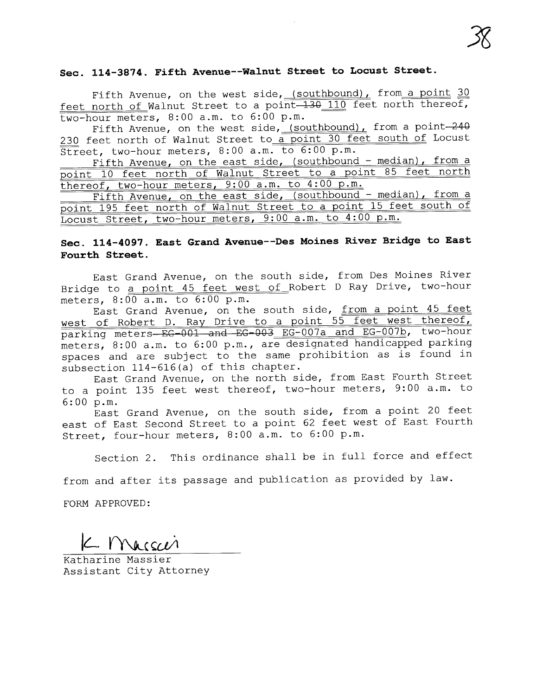# Jg

### Sec. 114-3874. Fifth Avenue--Walnut street to Locust Street.

Fifth Avenue, on the west side, (southbound), from a point  $30$ feet north of Walnut Street to a point  $-130$  110 feet north thereof, two-hour meters, 8:00 a.m. to 6:00 p.m.

Fifth Avenue, on the west side, (southbound), from a point-240 230 feet north of Walnut Street to a point 30 feet south of Locust Street, two-hour meters, 8:00 a.m. to 6:00 p.m.

Fifth Avenue, on the east side, (southbound - median), from a point 10 feet north of Walnut Street to a point 85 feet north thereof, two-hour meters, 9:00 a.m. to 4:00 p.m.

Fifth Avenue, on the east side, (southbound - median), from a point 195 feet north of Walnut Street to a point 15 feet south of Locust Street, two-hour meters, 9:00 a.m. to 4:00 p.m.

#### Sec. 114-4097. East Grand Avenue--Des Moines River Bridge to East Fourth Street.

East Grand Avenue, on the south side, from Des Moines River Bridge to a point 45 feet west of Robert D Ray Drive, two-hour

meters, 8:00 a.m. to 6:00 p.m.<br>East Grand Avenue, on the south side, from a point 45 feet west of Robert D. Ray Drive to a point 55 feet west thereof, parking meters-EG-001 and EG-003 EG-007a and EG-007b, two-hour meters, 8:00 a.m. to 6:00 p.m., are designated handicapped parking spaces and are subject to the same prohibition as is found in subsection 114-616(a) of this chapter.

East Grand Avenue, on the north side, from East Fourth Street to a point 135 feet west thereof, two-hour meters, 9: 00 a.m. to 6:00 p.m.

East Grand Avenue, on the south side, from a point 20 feet east of East Second Street to a point 62 feet west of East Fourth Street, four-hour meters, 8:00 a.m. to 6:00 p.m.

Section 2. This ordinance shall be in full force and effect

from and after its passage and publication as provided by law.

FORM APPROVED:

 $L$ . Macson

Katharine Massier Assistant City Attorney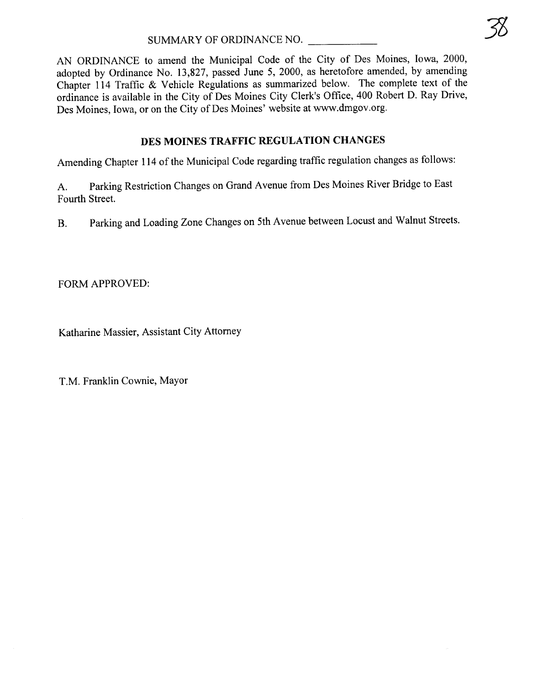AN ORDINANCE to amend the Municipal Code of the City of Des Moines, Iowa, 2000, adopted by Ordinance No. 13,827, passed June 5, 2000, as heretofore amended, by amending Chapter 114 Traffic & Vehicle Regulations as summarized below. The complete text of the ordinance is available in the City of Des Moines City Clerk's Office, 400 Robert D. Ray Drive, Des Moines, Iowa, or on the City of Des Moines' website at ww.dmgov.org.

## DES MOINES TRAFFIC REGULATION CHANGES

Amending Chapter 114 of the Municipal Code regarding traffic regulation changes as follows:

A. Parking Restriction Changes on Grand Avenue from Des Moines River Bridge to East Fourth Street.

B. Parking and Loading Zone Changes on 5th Avenue between Locust and Walnut Streets.

FORM APPROVED:

Katharine Massier, Assistant City Attorney

T.M. Franklin Cownie, Mayor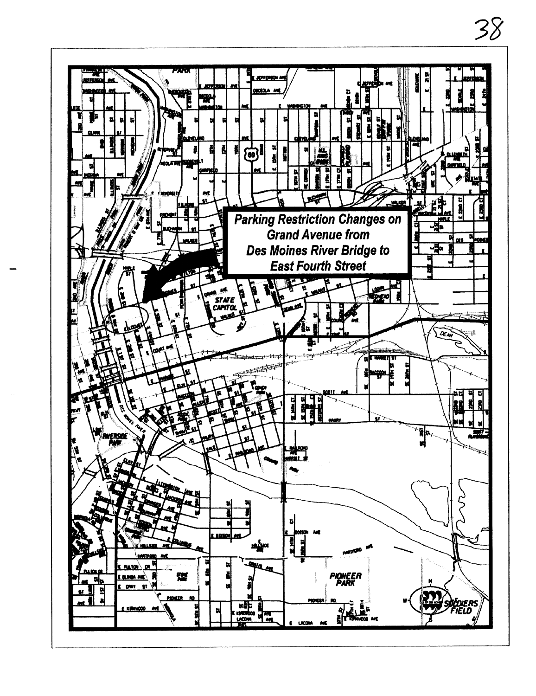